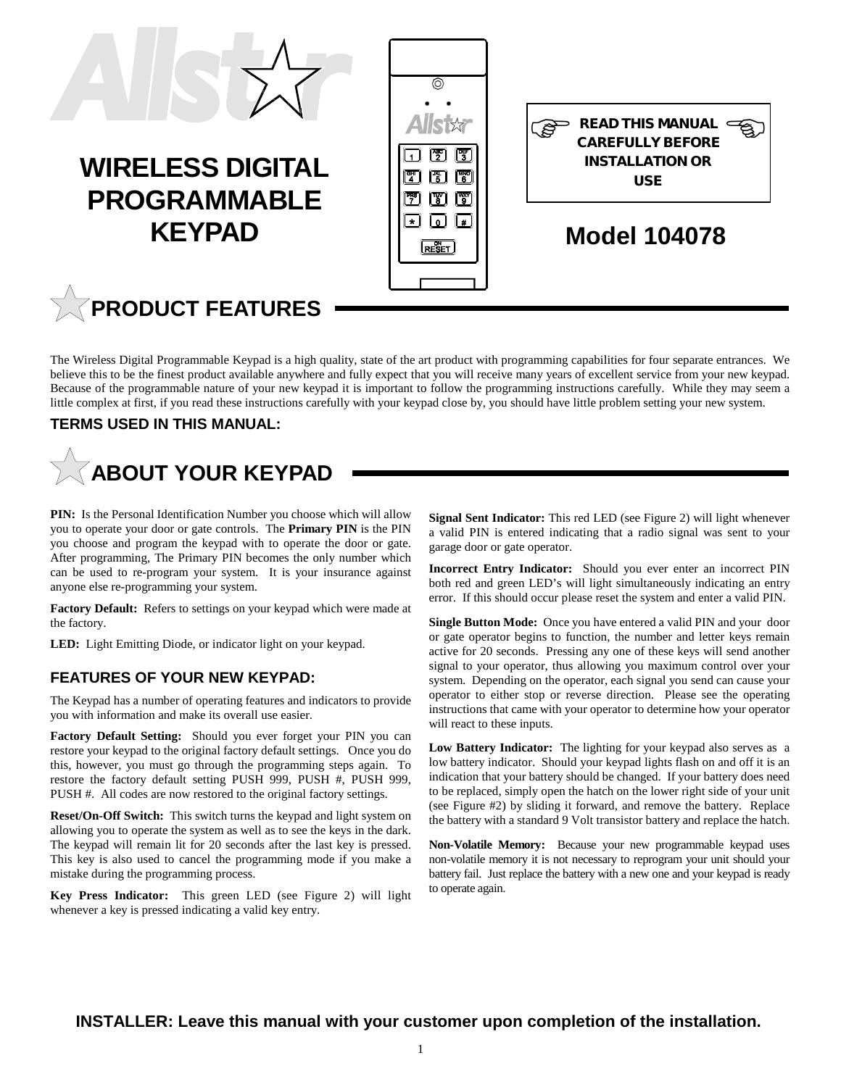

### **WIRELESS DIGITAL PROGRAMMABLE KEYPAD**





### **Model 104078**

# **PRODUCT FEATURES**

The Wireless Digital Programmable Keypad is a high quality, state of the art product with programming capabilities for four separate entrances. We believe this to be the finest product available anywhere and fully expect that you will receive many years of excellent service from your new keypad. Because of the programmable nature of your new keypad it is important to follow the programming instructions carefully. While they may seem a little complex at first, if you read these instructions carefully with your keypad close by, you should have little problem setting your new system.

#### **TERMS USED IN THIS MANUAL:**

# **ABOUT YOUR KEYPAD**

PIN: Is the Personal Identification Number you choose which will allow you to operate your door or gate controls. The **Primary PIN** is the PIN you choose and program the keypad with to operate the door or gate. After programming, The Primary PIN becomes the only number which can be used to re-program your system. It is your insurance against anyone else re-programming your system.

**Factory Default:** Refers to settings on your keypad which were made at the factory.

**LED:** Light Emitting Diode, or indicator light on your keypad.

#### **FEATURES OF YOUR NEW KEYPAD:**

The Keypad has a number of operating features and indicators to provide you with information and make its overall use easier.

**Factory Default Setting:** Should you ever forget your PIN you can restore your keypad to the original factory default settings. Once you do this, however, you must go through the programming steps again. To restore the factory default setting PUSH 999, PUSH #, PUSH 999, PUSH #. All codes are now restored to the original factory settings.

**Reset/On-Off Switch:** This switch turns the keypad and light system on allowing you to operate the system as well as to see the keys in the dark. The keypad will remain lit for 20 seconds after the last key is pressed. This key is also used to cancel the programming mode if you make a mistake during the programming process.

**Key Press Indicator:** This green LED (see Figure 2) will light whenever a key is pressed indicating a valid key entry.

**Signal Sent Indicator:** This red LED (see Figure 2) will light whenever a valid PIN is entered indicating that a radio signal was sent to your garage door or gate operator.

**Incorrect Entry Indicator:** Should you ever enter an incorrect PIN both red and green LED's will light simultaneously indicating an entry error. If this should occur please reset the system and enter a valid PIN.

**Single Button Mode:** Once you have entered a valid PIN and your door or gate operator begins to function, the number and letter keys remain active for 20 seconds. Pressing any one of these keys will send another signal to your operator, thus allowing you maximum control over your system. Depending on the operator, each signal you send can cause your operator to either stop or reverse direction. Please see the operating instructions that came with your operator to determine how your operator will react to these inputs.

**Low Battery Indicator:** The lighting for your keypad also serves as a low battery indicator. Should your keypad lights flash on and off it is an indication that your battery should be changed. If your battery does need to be replaced, simply open the hatch on the lower right side of your unit (see Figure #2) by sliding it forward, and remove the battery. Replace the battery with a standard 9 Volt transistor battery and replace the hatch.

**Non-Volatile Memory:** Because your new programmable keypad uses non-volatile memory it is not necessary to reprogram your unit should your battery fail. Just replace the battery with a new one and your keypad is ready to operate again.

**INSTALLER: Leave this manual with your customer upon completion of the installation.**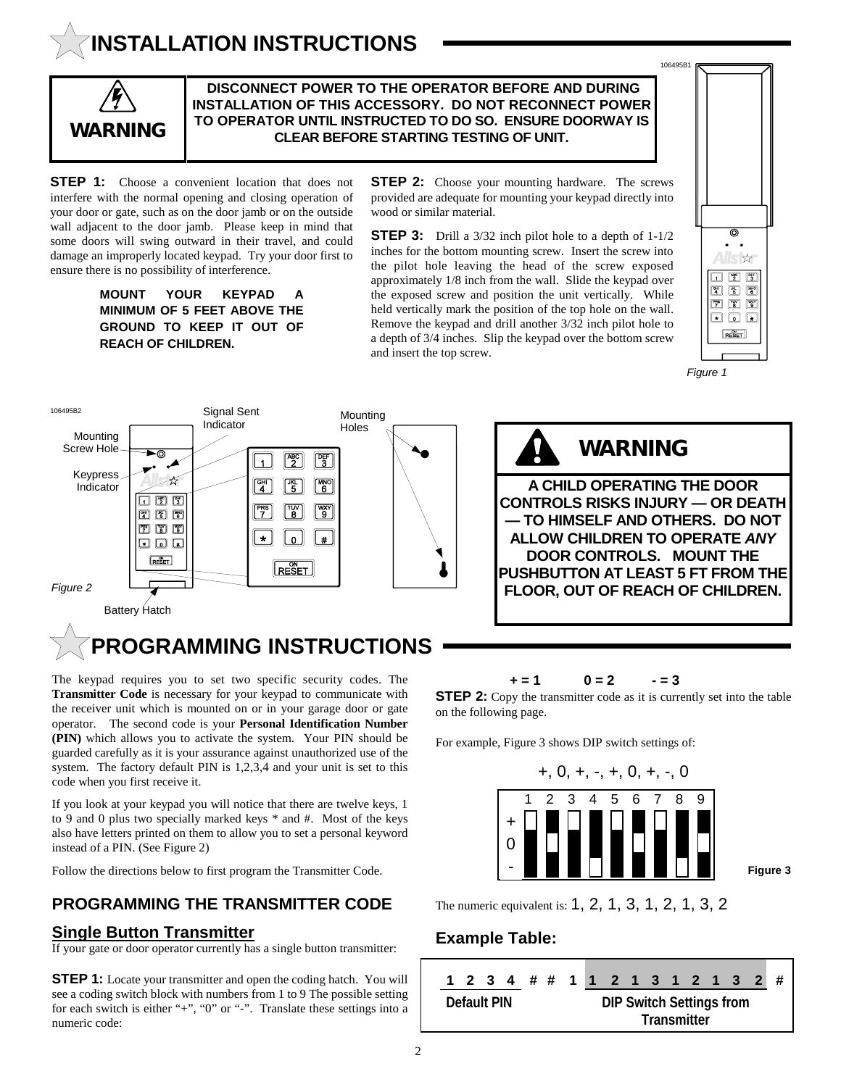## **INSTALLATION INSTRUCTIONS**



 **DISCONNECT POWER TO THE OPERATOR BEFORE AND DURING INSTALLATION OF THIS ACCESSORY. DO NOT RECONNECT POWER TO OPERATOR UNTIL INSTRUCTED TO DO SO. ENSURE DOORWAY IS WARNING CLEAR BEFORE STARTING TESTING OF UNIT.**

**STEP 1:** Choose a convenient location that does not interfere with the normal opening and closing operation of your door or gate, such as on the door jamb or on the outside wall adjacent to the door jamb. Please keep in mind that some doors will swing outward in their travel, and could damage an improperly located keypad. Try your door first to ensure there is no possibility of interference.

> **MOUNT YOUR KEYPAD A MINIMUM OF 5 FEET ABOVE THE GROUND TO KEEP IT OUT OF REACH OF CHILDREN.**

**STEP 2:** Choose your mounting hardware. The screws provided are adequate for mounting your keypad directly into wood or similar material.

**STEP 3:** Drill a 3/32 inch pilot hole to a depth of 1-1/2 inches for the bottom mounting screw. Insert the screw into the pilot hole leaving the head of the screw exposed approximately 1/8 inch from the wall. Slide the keypad over the exposed screw and position the unit vertically. While held vertically mark the position of the top hole on the wall. Remove the keypad and drill another 3/32 inch pilot hole to a depth of 3/4 inches. Slip the keypad over the bottom screw and insert the top screw.







The keypad requires you to set two specific security codes. The **Transmitter Code** is necessary for your keypad to communicate with

the receiver unit which is mounted on or in your garage door or gate operator. The second code is your **Personal Identification Number (PIN)** which allows you to activate the system. Your PIN should be guarded carefully as it is your assurance against unauthorized use of the system. The factory default PIN is 1,2,3,4 and your unit is set to this code when you first receive it.

If you look at your keypad you will notice that there are twelve keys, 1 to 9 and 0 plus two specially marked keys \* and #. Most of the keys also have letters printed on them to allow you to set a personal keyword instead of a PIN. (See Figure 2)

Follow the directions below to first program the Transmitter Code.

#### **PROGRAMMING THE TRANSMITTER CODE**

#### **Single Button Transmitter**

If your gate or door operator currently has a single button transmitter:

**STEP 1:** Locate your transmitter and open the coding hatch. You will see a coding switch block with numbers from 1 to 9 The possible setting for each switch is either "+", "0" or "-". Translate these settings into a numeric code:

#### $+ = 1$   $0 = 2$   $- = 3$

**STEP 2:** Copy the transmitter code as it is currently set into the table on the following page.

For example, Figure 3 shows DIP switch settings of:



**Figure 3**

The numeric equivalent is: 1, 2, 1, 3, 1, 2, 1, 3, 2

#### **Example Table:**

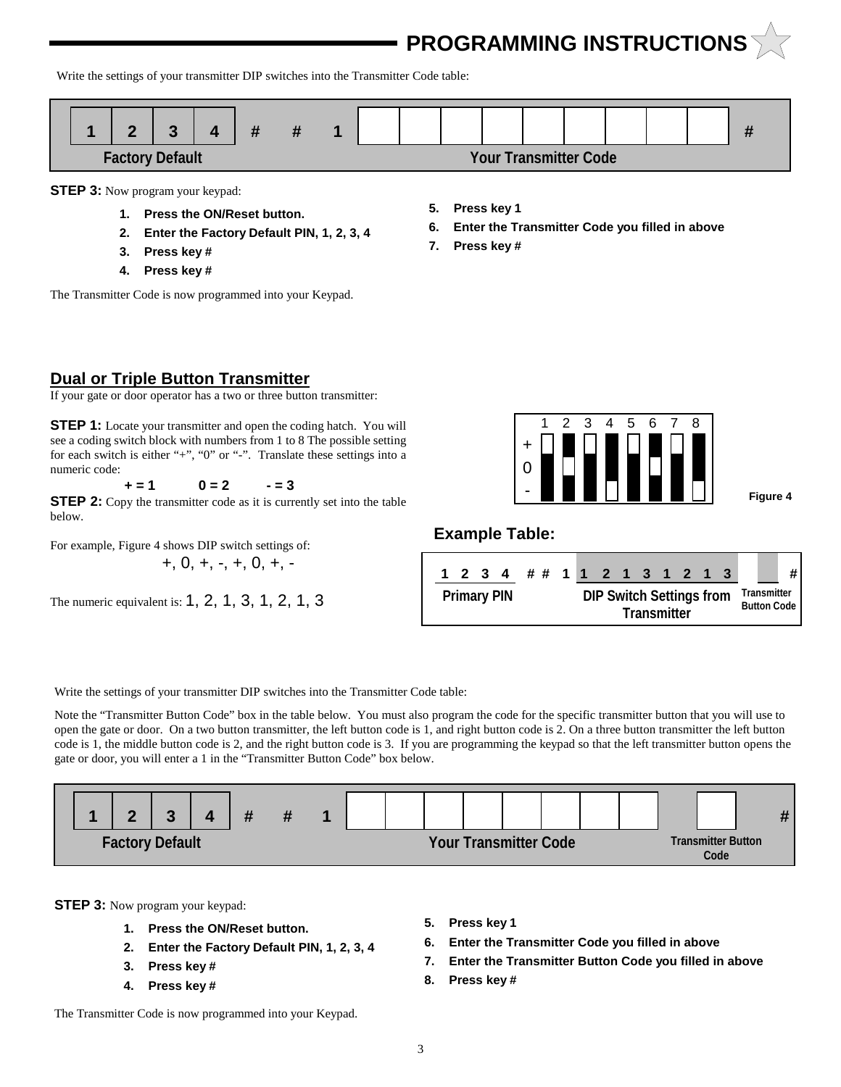**PROGRAMMING INSTRUCTIONS**

Write the settings of your transmitter DIP switches into the Transmitter Code table:



**STEP 3:** Now program your keypad:

- **1. Press the ON/Reset button.**
- **2. Enter the Factory Default PIN, 1, 2, 3, 4**
- **3. Press key #**
- **4. Press key #**

The Transmitter Code is now programmed into your Keypad.

- **5. Press key 1**
- **6. Enter the Transmitter Code you filled in above**
- **7. Press key #**

#### **Dual or Triple Button Transmitter**

If your gate or door operator has a two or three button transmitter:

**STEP 1:** Locate your transmitter and open the coding hatch. You will see a coding switch block with numbers from 1 to 8 The possible setting for each switch is either "+", "0" or "-". Translate these settings into a numeric code:

 $+ = 1$   $0 = 2$   $- = 3$ 

**STEP 2:** Copy the transmitter code as it is currently set into the table below.

For example, Figure 4 shows DIP switch settings of:  $+, 0, +, -, +, 0, +, -$ 

The numeric equivalent is: 1, 2, 1, 3, 1, 2, 1, 3



**Figure 4**

#### **Example Table:**



Write the settings of your transmitter DIP switches into the Transmitter Code table:

Note the "Transmitter Button Code" box in the table below. You must also program the code for the specific transmitter button that you will use to open the gate or door. On a two button transmitter, the left button code is 1, and right button code is 2. On a three button transmitter the left button code is 1, the middle button code is 2, and the right button code is 3. If you are programming the keypad so that the left transmitter button opens the gate or door, you will enter a 1 in the "Transmitter Button Code" box below.



**STEP 3:** Now program your keypad:

- **1. Press the ON/Reset button.**
- **2. Enter the Factory Default PIN, 1, 2, 3, 4**
- **3. Press key #**
- **4. Press key #**
- **5. Press key 1**
- **6. Enter the Transmitter Code you filled in above**
- **7. Enter the Transmitter Button Code you filled in above**
- **8. Press key #**

The Transmitter Code is now programmed into your Keypad.